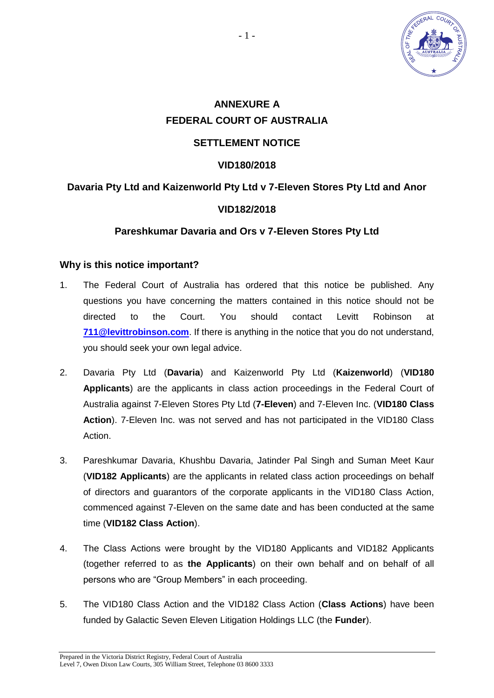

# **ANNEXURE A FEDERAL COURT OF AUSTRALIA SETTLEMENT NOTICE**

#### **VID180/2018**

## **Davaria Pty Ltd and Kaizenworld Pty Ltd v 7-Eleven Stores Pty Ltd and Anor**

#### **VID182/2018**

#### **Pareshkumar Davaria and Ors v 7-Eleven Stores Pty Ltd**

#### **Why is this notice important?**

- 1. The Federal Court of Australia has ordered that this notice be published. Any questions you have concerning the matters contained in this notice should not be directed to the Court. You should contact Levitt Robinson at **[711@levittrobinson.com](mailto:711@levittrobinson.com)**. If there is anything in the notice that you do not understand, you should seek your own legal advice.
- 2. Davaria Pty Ltd (**Davaria**) and Kaizenworld Pty Ltd (**Kaizenworld**) (**VID180 Applicants**) are the applicants in class action proceedings in the Federal Court of Australia against 7-Eleven Stores Pty Ltd (**7-Eleven**) and 7-Eleven Inc. (**VID180 Class Action**). 7-Eleven Inc. was not served and has not participated in the VID180 Class Action.
- 3. Pareshkumar Davaria, Khushbu Davaria, Jatinder Pal Singh and Suman Meet Kaur (**VID182 Applicants**) are the applicants in related class action proceedings on behalf of directors and guarantors of the corporate applicants in the VID180 Class Action, commenced against 7-Eleven on the same date and has been conducted at the same time (**VID182 Class Action**).
- 4. The Class Actions were brought by the VID180 Applicants and VID182 Applicants (together referred to as **the Applicants**) on their own behalf and on behalf of all persons who are "Group Members" in each proceeding.
- 5. The VID180 Class Action and the VID182 Class Action (**Class Actions**) have been funded by Galactic Seven Eleven Litigation Holdings LLC (the **Funder**).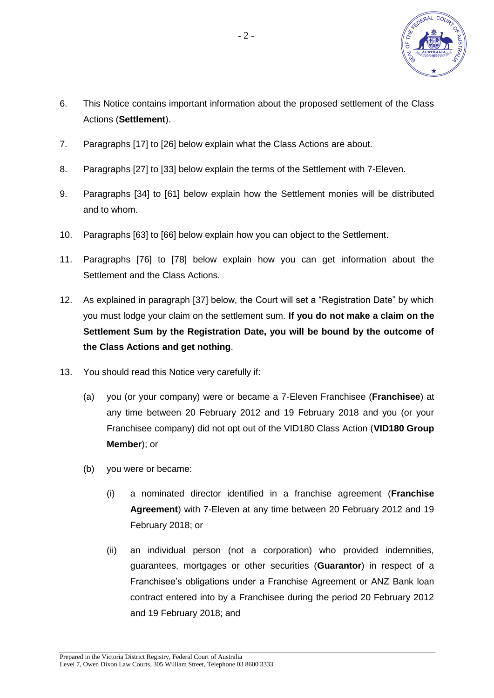

- 6. This Notice contains important information about the proposed settlement of the Class Actions (**Settlement**).
- 7. Paragraphs [\[17\]](#page-2-0) to [\[26\]](#page-5-0) below explain what the Class Actions are about.
- 8. Paragraphs [\[27\]](#page-6-0) to [\[33\]](#page-8-0) below explain the terms of the Settlement with 7-Eleven.
- 9. Paragraphs [\[34\]](#page-8-1) to [\[61\]](#page-14-0) below explain how the Settlement monies will be distributed and to whom.
- 10. Paragraphs [\[63\]](#page-14-1) to [\[66\]](#page-15-0) below explain how you can object to the Settlement.
- 11. Paragraphs [\[76\]](#page-17-0) to [\[78\]](#page-18-0) below explain how you can get information about the Settlement and the Class Actions.
- 12. As explained in paragraph [\[37\]](#page-8-2) below, the Court will set a "Registration Date" by which you must lodge your claim on the settlement sum. **If you do not make a claim on the Settlement Sum by the Registration Date, you will be bound by the outcome of the Class Actions and get nothing**.
- 13. You should read this Notice very carefully if:
	- (a) you (or your company) were or became a 7-Eleven Franchisee (**Franchisee**) at any time between 20 February 2012 and 19 February 2018 and you (or your Franchisee company) did not opt out of the VID180 Class Action (**VID180 Group Member**); or
	- (b) you were or became:
		- (i) a nominated director identified in a franchise agreement (**Franchise Agreement**) with 7-Eleven at any time between 20 February 2012 and 19 February 2018; or
		- (ii) an individual person (not a corporation) who provided indemnities, guarantees, mortgages or other securities (**Guarantor**) in respect of a Franchisee's obligations under a Franchise Agreement or ANZ Bank loan contract entered into by a Franchisee during the period 20 February 2012 and 19 February 2018; and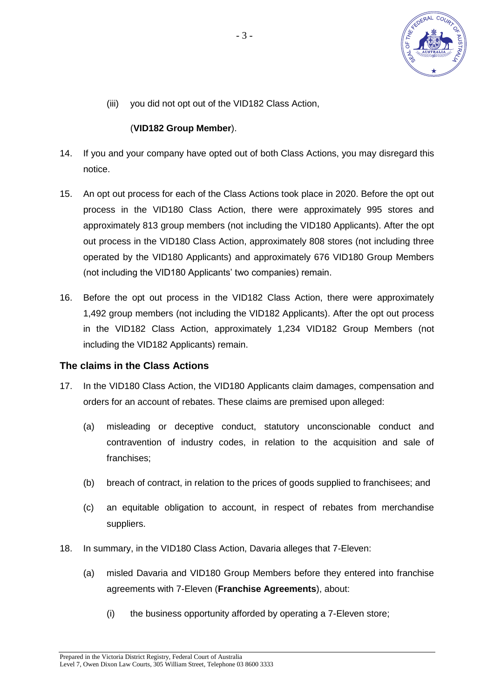

(iii) you did not opt out of the VID182 Class Action,

#### (**VID182 Group Member**).

- 14. If you and your company have opted out of both Class Actions, you may disregard this notice.
- 15. An opt out process for each of the Class Actions took place in 2020. Before the opt out process in the VID180 Class Action, there were approximately 995 stores and approximately 813 group members (not including the VID180 Applicants). After the opt out process in the VID180 Class Action, approximately 808 stores (not including three operated by the VID180 Applicants) and approximately 676 VID180 Group Members (not including the VID180 Applicants' two companies) remain.
- 16. Before the opt out process in the VID182 Class Action, there were approximately 1,492 group members (not including the VID182 Applicants). After the opt out process in the VID182 Class Action, approximately 1,234 VID182 Group Members (not including the VID182 Applicants) remain.

## **The claims in the Class Actions**

- <span id="page-2-0"></span>17. In the VID180 Class Action, the VID180 Applicants claim damages, compensation and orders for an account of rebates. These claims are premised upon alleged:
	- (a) misleading or deceptive conduct, statutory unconscionable conduct and contravention of industry codes, in relation to the acquisition and sale of franchises;
	- (b) breach of contract, in relation to the prices of goods supplied to franchisees; and
	- (c) an equitable obligation to account, in respect of rebates from merchandise suppliers.
- <span id="page-2-2"></span><span id="page-2-1"></span>18. In summary, in the VID180 Class Action, Davaria alleges that 7-Eleven:
	- (a) misled Davaria and VID180 Group Members before they entered into franchise agreements with 7-Eleven (**Franchise Agreements**), about:
		- (i) the business opportunity afforded by operating a 7-Eleven store;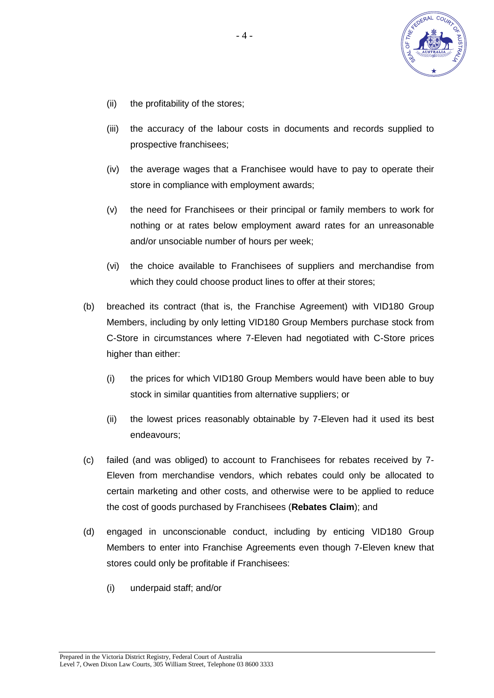

- (ii) the profitability of the stores;
- (iii) the accuracy of the labour costs in documents and records supplied to prospective franchisees;
- (iv) the average wages that a Franchisee would have to pay to operate their store in compliance with employment awards;
- (v) the need for Franchisees or their principal or family members to work for nothing or at rates below employment award rates for an unreasonable and/or unsociable number of hours per week;
- (vi) the choice available to Franchisees of suppliers and merchandise from which they could choose product lines to offer at their stores;
- (b) breached its contract (that is, the Franchise Agreement) with VID180 Group Members, including by only letting VID180 Group Members purchase stock from C-Store in circumstances where 7-Eleven had negotiated with C-Store prices higher than either:
	- (i) the prices for which VID180 Group Members would have been able to buy stock in similar quantities from alternative suppliers; or
	- (ii) the lowest prices reasonably obtainable by 7-Eleven had it used its best endeavours;
- (c) failed (and was obliged) to account to Franchisees for rebates received by 7- Eleven from merchandise vendors, which rebates could only be allocated to certain marketing and other costs, and otherwise were to be applied to reduce the cost of goods purchased by Franchisees (**Rebates Claim**); and
- <span id="page-3-0"></span>(d) engaged in unconscionable conduct, including by enticing VID180 Group Members to enter into Franchise Agreements even though 7-Eleven knew that stores could only be profitable if Franchisees:
	- (i) underpaid staff; and/or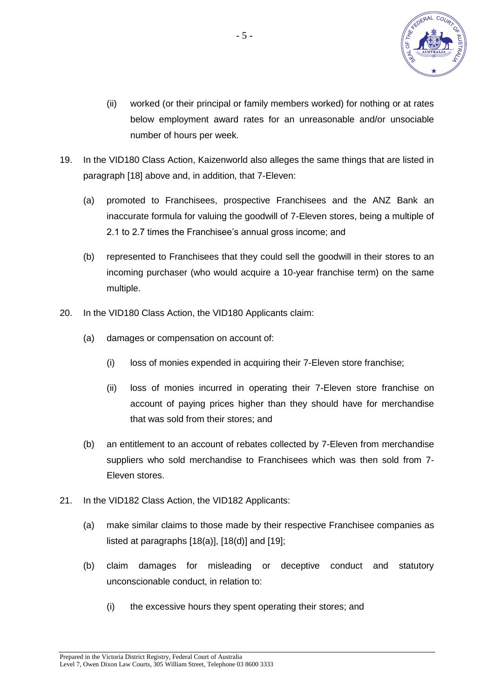

- (ii) worked (or their principal or family members worked) for nothing or at rates below employment award rates for an unreasonable and/or unsociable number of hours per week.
- <span id="page-4-0"></span>19. In the VID180 Class Action, Kaizenworld also alleges the same things that are listed in paragraph [\[18\]](#page-2-1) above and, in addition, that 7-Eleven:
	- (a) promoted to Franchisees, prospective Franchisees and the ANZ Bank an inaccurate formula for valuing the goodwill of 7-Eleven stores, being a multiple of 2.1 to 2.7 times the Franchisee's annual gross income; and
	- (b) represented to Franchisees that they could sell the goodwill in their stores to an incoming purchaser (who would acquire a 10-year franchise term) on the same multiple.
- 20. In the VID180 Class Action, the VID180 Applicants claim:
	- (a) damages or compensation on account of:
		- (i) loss of monies expended in acquiring their 7-Eleven store franchise;
		- (ii) loss of monies incurred in operating their 7-Eleven store franchise on account of paying prices higher than they should have for merchandise that was sold from their stores; and
	- (b) an entitlement to an account of rebates collected by 7-Eleven from merchandise suppliers who sold merchandise to Franchisees which was then sold from 7- Eleven stores.
- <span id="page-4-1"></span>21. In the VID182 Class Action, the VID182 Applicants:
	- (a) make similar claims to those made by their respective Franchisee companies as listed at paragraphs  $[18(a)], [18(d)]$  $[18(a)], [18(d)]$  $[18(a)], [18(d)]$  and  $[19]$ ;
	- (b) claim damages for misleading or deceptive conduct and statutory unconscionable conduct, in relation to:
		- (i) the excessive hours they spent operating their stores; and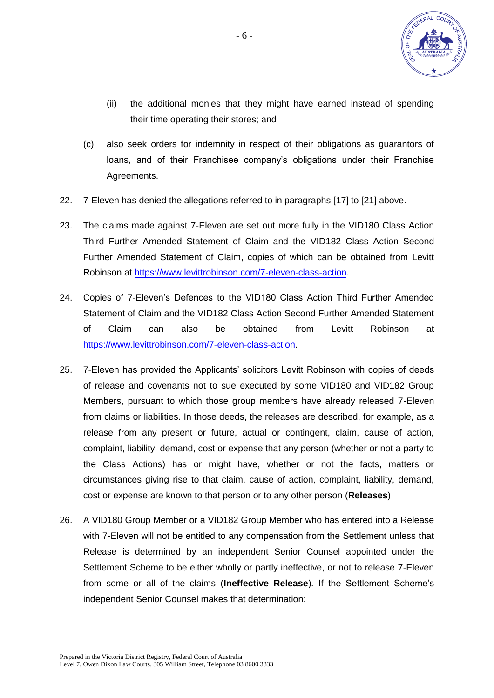

- (ii) the additional monies that they might have earned instead of spending their time operating their stores; and
- (c) also seek orders for indemnity in respect of their obligations as guarantors of loans, and of their Franchisee company's obligations under their Franchise Agreements.
- 22. 7-Eleven has denied the allegations referred to in paragraphs [\[17\]](#page-2-0) to [\[21\]](#page-4-1) above.
- 23. The claims made against 7-Eleven are set out more fully in the VID180 Class Action Third Further Amended Statement of Claim and the VID182 Class Action Second Further Amended Statement of Claim, copies of which can be obtained from Levitt Robinson at [https://www.levittrobinson.com/7-eleven-class-action.](https://www.levittrobinson.com/7-eleven-class-action)
- 24. Copies of 7-Eleven's Defences to the VID180 Class Action Third Further Amended Statement of Claim and the VID182 Class Action Second Further Amended Statement of Claim can also be obtained from Levitt Robinson at [https://www.levittrobinson.com/7-eleven-class-action.](https://www.levittrobinson.com/7-eleven-class-action)
- 25. 7-Eleven has provided the Applicants' solicitors Levitt Robinson with copies of deeds of release and covenants not to sue executed by some VID180 and VID182 Group Members, pursuant to which those group members have already released 7-Eleven from claims or liabilities. In those deeds, the releases are described, for example, as a release from any present or future, actual or contingent, claim, cause of action, complaint, liability, demand, cost or expense that any person (whether or not a party to the Class Actions) has or might have, whether or not the facts, matters or circumstances giving rise to that claim, cause of action, complaint, liability, demand, cost or expense are known to that person or to any other person (**Releases**).
- <span id="page-5-0"></span>26. A VID180 Group Member or a VID182 Group Member who has entered into a Release with 7-Eleven will not be entitled to any compensation from the Settlement unless that Release is determined by an independent Senior Counsel appointed under the Settlement Scheme to be either wholly or partly ineffective, or not to release 7-Eleven from some or all of the claims (**Ineffective Release**). If the Settlement Scheme's independent Senior Counsel makes that determination: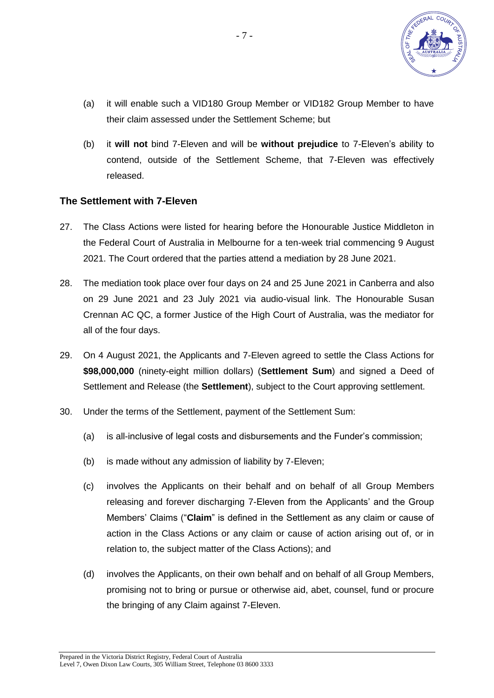

- (a) it will enable such a VID180 Group Member or VID182 Group Member to have their claim assessed under the Settlement Scheme; but
- (b) it **will not** bind 7-Eleven and will be **without prejudice** to 7-Eleven's ability to contend, outside of the Settlement Scheme, that 7-Eleven was effectively released.

#### **The Settlement with 7-Eleven**

- <span id="page-6-0"></span>27. The Class Actions were listed for hearing before the Honourable Justice Middleton in the Federal Court of Australia in Melbourne for a ten-week trial commencing 9 August 2021. The Court ordered that the parties attend a mediation by 28 June 2021.
- 28. The mediation took place over four days on 24 and 25 June 2021 in Canberra and also on 29 June 2021 and 23 July 2021 via audio-visual link. The Honourable Susan Crennan AC QC, a former Justice of the High Court of Australia, was the mediator for all of the four days.
- 29. On 4 August 2021, the Applicants and 7-Eleven agreed to settle the Class Actions for **\$98,000,000** (ninety-eight million dollars) (**Settlement Sum**) and signed a Deed of Settlement and Release (the **Settlement**), subject to the Court approving settlement.
- 30. Under the terms of the Settlement, payment of the Settlement Sum:
	- (a) is all-inclusive of legal costs and disbursements and the Funder's commission;
	- (b) is made without any admission of liability by 7-Eleven;
	- (c) involves the Applicants on their behalf and on behalf of all Group Members releasing and forever discharging 7-Eleven from the Applicants' and the Group Members' Claims ("**Claim**" is defined in the Settlement as any claim or cause of action in the Class Actions or any claim or cause of action arising out of, or in relation to, the subject matter of the Class Actions); and
	- (d) involves the Applicants, on their own behalf and on behalf of all Group Members, promising not to bring or pursue or otherwise aid, abet, counsel, fund or procure the bringing of any Claim against 7-Eleven.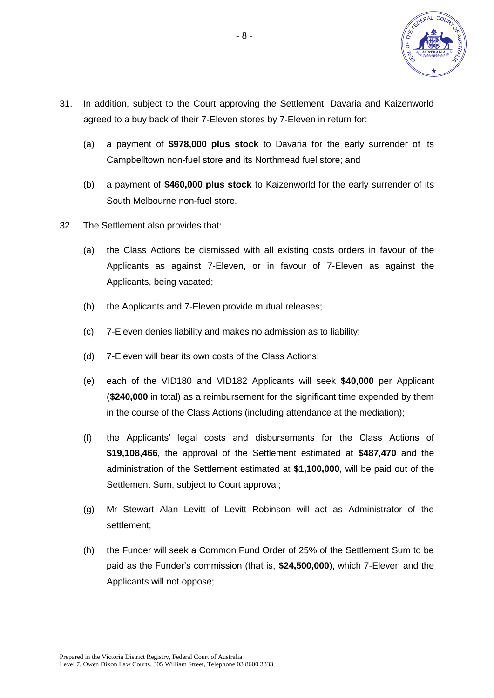

- 31. In addition, subject to the Court approving the Settlement, Davaria and Kaizenworld agreed to a buy back of their 7-Eleven stores by 7-Eleven in return for:
	- (a) a payment of **\$978,000 plus stock** to Davaria for the early surrender of its Campbelltown non-fuel store and its Northmead fuel store; and
	- (b) a payment of **\$460,000 plus stock** to Kaizenworld for the early surrender of its South Melbourne non-fuel store.
- <span id="page-7-2"></span><span id="page-7-1"></span><span id="page-7-0"></span>32. The Settlement also provides that:
	- (a) the Class Actions be dismissed with all existing costs orders in favour of the Applicants as against 7-Eleven, or in favour of 7-Eleven as against the Applicants, being vacated;
	- (b) the Applicants and 7-Eleven provide mutual releases;
	- (c) 7-Eleven denies liability and makes no admission as to liability;
	- (d) 7-Eleven will bear its own costs of the Class Actions;
	- (e) each of the VID180 and VID182 Applicants will seek **\$40,000** per Applicant (**\$240,000** in total) as a reimbursement for the significant time expended by them in the course of the Class Actions (including attendance at the mediation);
	- (f) the Applicants' legal costs and disbursements for the Class Actions of **\$19,108,466**, the approval of the Settlement estimated at **\$487,470** and the administration of the Settlement estimated at **\$1,100,000**, will be paid out of the Settlement Sum, subject to Court approval;
	- (g) Mr Stewart Alan Levitt of Levitt Robinson will act as Administrator of the settlement;
	- (h) the Funder will seek a Common Fund Order of 25% of the Settlement Sum to be paid as the Funder's commission (that is, **\$24,500,000**), which 7-Eleven and the Applicants will not oppose;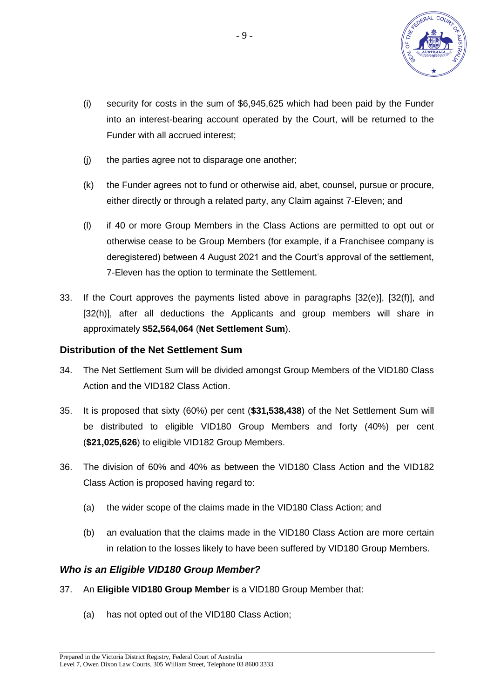

- (i) security for costs in the sum of \$6,945,625 which had been paid by the Funder into an interest-bearing account operated by the Court, will be returned to the Funder with all accrued interest;
- (j) the parties agree not to disparage one another;
- (k) the Funder agrees not to fund or otherwise aid, abet, counsel, pursue or procure, either directly or through a related party, any Claim against 7-Eleven; and
- (l) if 40 or more Group Members in the Class Actions are permitted to opt out or otherwise cease to be Group Members (for example, if a Franchisee company is deregistered) between 4 August 2021 and the Court's approval of the settlement, 7-Eleven has the option to terminate the Settlement.
- <span id="page-8-0"></span>33. If the Court approves the payments listed above in paragraphs [\[32\(e\)\]](#page-7-0), [\[32\(f\)\]](#page-7-1), and [\[32\(h\)\]](#page-7-2), after all deductions the Applicants and group members will share in approximately **\$52,564,064** (**Net Settlement Sum**).

#### **Distribution of the Net Settlement Sum**

- <span id="page-8-1"></span>34. The Net Settlement Sum will be divided amongst Group Members of the VID180 Class Action and the VID182 Class Action.
- <span id="page-8-3"></span>35. It is proposed that sixty (60%) per cent (**\$31,538,438**) of the Net Settlement Sum will be distributed to eligible VID180 Group Members and forty (40%) per cent (**\$21,025,626**) to eligible VID182 Group Members.
- <span id="page-8-4"></span>36. The division of 60% and 40% as between the VID180 Class Action and the VID182 Class Action is proposed having regard to:
	- (a) the wider scope of the claims made in the VID180 Class Action; and
	- (b) an evaluation that the claims made in the VID180 Class Action are more certain in relation to the losses likely to have been suffered by VID180 Group Members.

#### *Who is an Eligible VID180 Group Member?*

- <span id="page-8-2"></span>37. An **Eligible VID180 Group Member** is a VID180 Group Member that:
	- (a) has not opted out of the VID180 Class Action;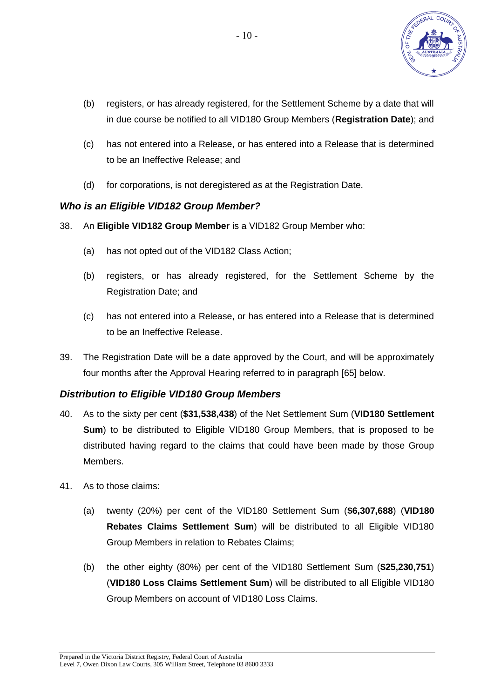

- (b) registers, or has already registered, for the Settlement Scheme by a date that will in due course be notified to all VID180 Group Members (**Registration Date**); and
- (c) has not entered into a Release, or has entered into a Release that is determined to be an Ineffective Release; and
- (d) for corporations, is not deregistered as at the Registration Date.

## *Who is an Eligible VID182 Group Member?*

- 38. An **Eligible VID182 Group Member** is a VID182 Group Member who:
	- (a) has not opted out of the VID182 Class Action;
	- (b) registers, or has already registered, for the Settlement Scheme by the Registration Date; and
	- (c) has not entered into a Release, or has entered into a Release that is determined to be an Ineffective Release.
- 39. The Registration Date will be a date approved by the Court, and will be approximately four months after the Approval Hearing referred to in paragraph [\[65\]](#page-14-2) below.

#### *Distribution to Eligible VID180 Group Members*

- <span id="page-9-0"></span>40. As to the sixty per cent (**\$31,538,438**) of the Net Settlement Sum (**VID180 Settlement Sum**) to be distributed to Eligible VID180 Group Members, that is proposed to be distributed having regard to the claims that could have been made by those Group **Members**
- 41. As to those claims:
	- (a) twenty (20%) per cent of the VID180 Settlement Sum (**\$6,307,688**) (**VID180 Rebates Claims Settlement Sum**) will be distributed to all Eligible VID180 Group Members in relation to Rebates Claims;
	- (b) the other eighty (80%) per cent of the VID180 Settlement Sum (**\$25,230,751**) (**VID180 Loss Claims Settlement Sum**) will be distributed to all Eligible VID180 Group Members on account of VID180 Loss Claims.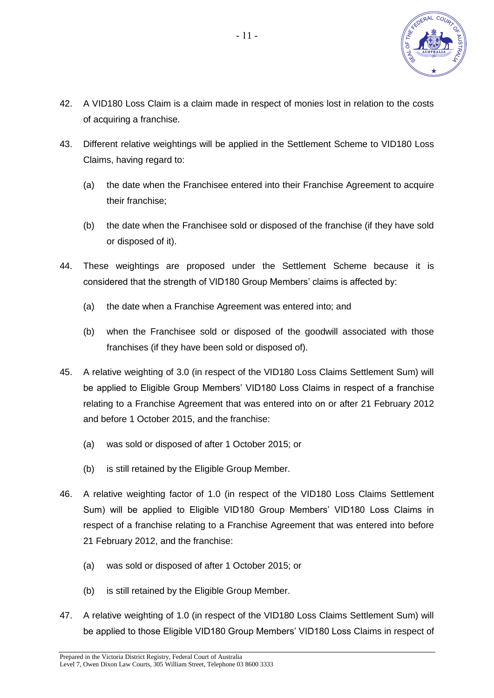

- 42. A VID180 Loss Claim is a claim made in respect of monies lost in relation to the costs of acquiring a franchise.
- 43. Different relative weightings will be applied in the Settlement Scheme to VID180 Loss Claims, having regard to:
	- (a) the date when the Franchisee entered into their Franchise Agreement to acquire their franchise;
	- (b) the date when the Franchisee sold or disposed of the franchise (if they have sold or disposed of it).
- 44. These weightings are proposed under the Settlement Scheme because it is considered that the strength of VID180 Group Members' claims is affected by:
	- (a) the date when a Franchise Agreement was entered into; and
	- (b) when the Franchisee sold or disposed of the goodwill associated with those franchises (if they have been sold or disposed of).
- <span id="page-10-0"></span>45. A relative weighting of 3.0 (in respect of the VID180 Loss Claims Settlement Sum) will be applied to Eligible Group Members' VID180 Loss Claims in respect of a franchise relating to a Franchise Agreement that was entered into on or after 21 February 2012 and before 1 October 2015, and the franchise:
	- (a) was sold or disposed of after 1 October 2015; or
	- (b) is still retained by the Eligible Group Member.
- <span id="page-10-1"></span>46. A relative weighting factor of 1.0 (in respect of the VID180 Loss Claims Settlement Sum) will be applied to Eligible VID180 Group Members' VID180 Loss Claims in respect of a franchise relating to a Franchise Agreement that was entered into before 21 February 2012, and the franchise:
	- (a) was sold or disposed of after 1 October 2015; or
	- (b) is still retained by the Eligible Group Member.
- <span id="page-10-2"></span>47. A relative weighting of 1.0 (in respect of the VID180 Loss Claims Settlement Sum) will be applied to those Eligible VID180 Group Members' VID180 Loss Claims in respect of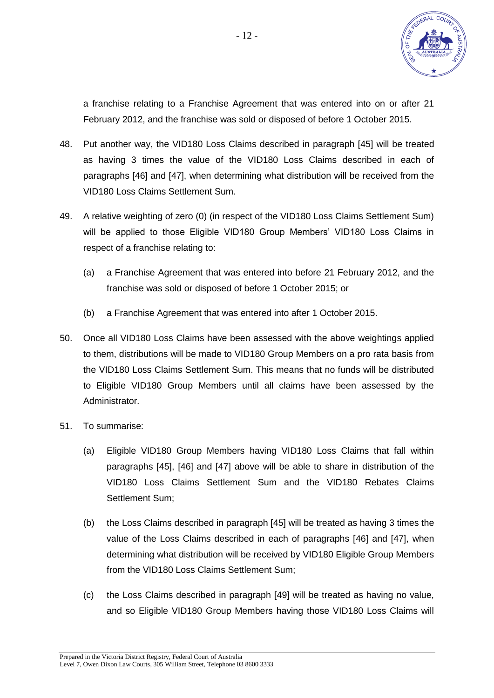

a franchise relating to a Franchise Agreement that was entered into on or after 21 February 2012, and the franchise was sold or disposed of before 1 October 2015.

- 48. Put another way, the VID180 Loss Claims described in paragraph [\[45\]](#page-10-0) will be treated as having 3 times the value of the VID180 Loss Claims described in each of paragraphs [\[46\]](#page-10-1) and [\[47\]](#page-10-2), when determining what distribution will be received from the VID180 Loss Claims Settlement Sum.
- <span id="page-11-0"></span>49. A relative weighting of zero (0) (in respect of the VID180 Loss Claims Settlement Sum) will be applied to those Eligible VID180 Group Members' VID180 Loss Claims in respect of a franchise relating to:
	- (a) a Franchise Agreement that was entered into before 21 February 2012, and the franchise was sold or disposed of before 1 October 2015; or
	- (b) a Franchise Agreement that was entered into after 1 October 2015.
- <span id="page-11-1"></span>50. Once all VID180 Loss Claims have been assessed with the above weightings applied to them, distributions will be made to VID180 Group Members on a pro rata basis from the VID180 Loss Claims Settlement Sum. This means that no funds will be distributed to Eligible VID180 Group Members until all claims have been assessed by the Administrator.
- <span id="page-11-2"></span>51. To summarise:
	- (a) Eligible VID180 Group Members having VID180 Loss Claims that fall within paragraphs [\[45\]](#page-10-0), [\[46\]](#page-10-1) and [\[47\]](#page-10-2) above will be able to share in distribution of the VID180 Loss Claims Settlement Sum and the VID180 Rebates Claims Settlement Sum;
	- (b) the Loss Claims described in paragraph [\[45\]](#page-10-0) will be treated as having 3 times the value of the Loss Claims described in each of paragraphs [\[46\]](#page-10-1) and [\[47\]](#page-10-2), when determining what distribution will be received by VID180 Eligible Group Members from the VID180 Loss Claims Settlement Sum;
	- (c) the Loss Claims described in paragraph [\[49\]](#page-11-0) will be treated as having no value, and so Eligible VID180 Group Members having those VID180 Loss Claims will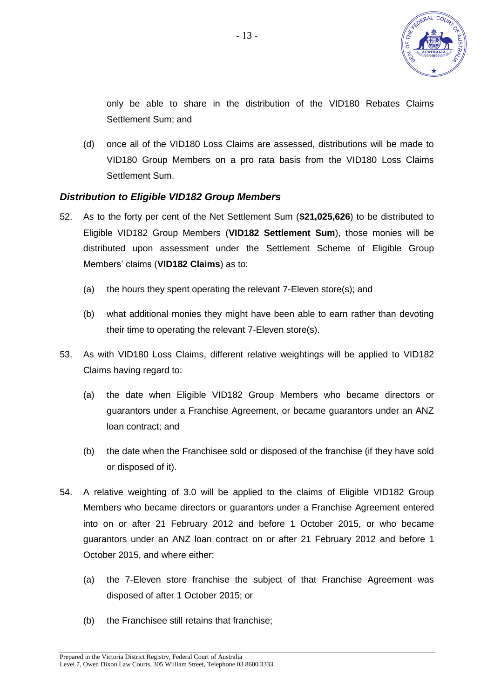

only be able to share in the distribution of the VID180 Rebates Claims Settlement Sum; and

(d) once all of the VID180 Loss Claims are assessed, distributions will be made to VID180 Group Members on a pro rata basis from the VID180 Loss Claims Settlement Sum.

#### *Distribution to Eligible VID182 Group Members*

- <span id="page-12-1"></span>52. As to the forty per cent of the Net Settlement Sum (**\$21,025,626**) to be distributed to Eligible VID182 Group Members (**VID182 Settlement Sum**), those monies will be distributed upon assessment under the Settlement Scheme of Eligible Group Members' claims (**VID182 Claims**) as to:
	- (a) the hours they spent operating the relevant 7-Eleven store(s); and
	- (b) what additional monies they might have been able to earn rather than devoting their time to operating the relevant 7-Eleven store(s).
- 53. As with VID180 Loss Claims, different relative weightings will be applied to VID182 Claims having regard to:
	- (a) the date when Eligible VID182 Group Members who became directors or guarantors under a Franchise Agreement, or became guarantors under an ANZ loan contract; and
	- (b) the date when the Franchisee sold or disposed of the franchise (if they have sold or disposed of it).
- <span id="page-12-0"></span>54. A relative weighting of 3.0 will be applied to the claims of Eligible VID182 Group Members who became directors or guarantors under a Franchise Agreement entered into on or after 21 February 2012 and before 1 October 2015, or who became guarantors under an ANZ loan contract on or after 21 February 2012 and before 1 October 2015, and where either:
	- (a) the 7-Eleven store franchise the subject of that Franchise Agreement was disposed of after 1 October 2015; or
	- (b) the Franchisee still retains that franchise;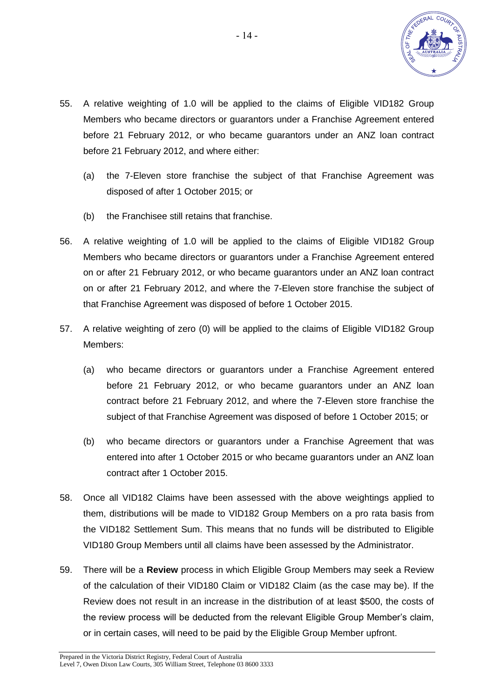

- <span id="page-13-0"></span>55. A relative weighting of 1.0 will be applied to the claims of Eligible VID182 Group Members who became directors or guarantors under a Franchise Agreement entered before 21 February 2012, or who became guarantors under an ANZ loan contract before 21 February 2012, and where either:
	- (a) the 7-Eleven store franchise the subject of that Franchise Agreement was disposed of after 1 October 2015; or
	- (b) the Franchisee still retains that franchise.
- <span id="page-13-1"></span>56. A relative weighting of 1.0 will be applied to the claims of Eligible VID182 Group Members who became directors or guarantors under a Franchise Agreement entered on or after 21 February 2012, or who became guarantors under an ANZ loan contract on or after 21 February 2012, and where the 7-Eleven store franchise the subject of that Franchise Agreement was disposed of before 1 October 2015.
- <span id="page-13-2"></span>57. A relative weighting of zero (0) will be applied to the claims of Eligible VID182 Group Members:
	- (a) who became directors or guarantors under a Franchise Agreement entered before 21 February 2012, or who became guarantors under an ANZ loan contract before 21 February 2012, and where the 7-Eleven store franchise the subject of that Franchise Agreement was disposed of before 1 October 2015; or
	- (b) who became directors or guarantors under a Franchise Agreement that was entered into after 1 October 2015 or who became guarantors under an ANZ loan contract after 1 October 2015.
- <span id="page-13-3"></span>58. Once all VID182 Claims have been assessed with the above weightings applied to them, distributions will be made to VID182 Group Members on a pro rata basis from the VID182 Settlement Sum. This means that no funds will be distributed to Eligible VID180 Group Members until all claims have been assessed by the Administrator.
- 59. There will be a **Review** process in which Eligible Group Members may seek a Review of the calculation of their VID180 Claim or VID182 Claim (as the case may be). If the Review does not result in an increase in the distribution of at least \$500, the costs of the review process will be deducted from the relevant Eligible Group Member's claim, or in certain cases, will need to be paid by the Eligible Group Member upfront.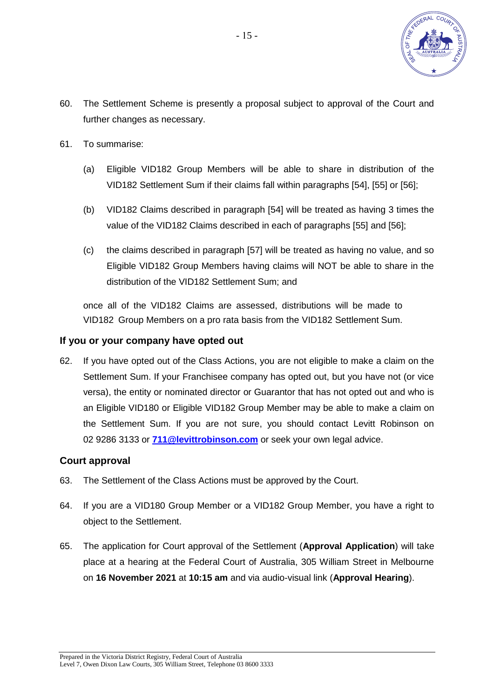

- 60. The Settlement Scheme is presently a proposal subject to approval of the Court and further changes as necessary.
- <span id="page-14-0"></span>61. To summarise:
	- (a) Eligible VID182 Group Members will be able to share in distribution of the VID182 Settlement Sum if their claims fall within paragraphs [\[54\]](#page-12-0), [\[55\]](#page-13-0) or [\[56\]](#page-13-1);
	- (b) VID182 Claims described in paragraph [\[54\]](#page-12-0) will be treated as having 3 times the value of the VID182 Claims described in each of paragraphs [\[55\]](#page-13-0) and [\[56\]](#page-13-1);
	- (c) the claims described in paragraph [\[57\]](#page-13-2) will be treated as having no value, and so Eligible VID182 Group Members having claims will NOT be able to share in the distribution of the VID182 Settlement Sum; and

once all of the VID182 Claims are assessed, distributions will be made to VID182 Group Members on a pro rata basis from the VID182 Settlement Sum.

#### **If you or your company have opted out**

62. If you have opted out of the Class Actions, you are not eligible to make a claim on the Settlement Sum. If your Franchisee company has opted out, but you have not (or vice versa), the entity or nominated director or Guarantor that has not opted out and who is an Eligible VID180 or Eligible VID182 Group Member may be able to make a claim on the Settlement Sum. If you are not sure, you should contact Levitt Robinson on 02 9286 3133 or **[711@levittrobinson.com](mailto:711@levittrobinson.com)** or seek your own legal advice.

#### **Court approval**

- <span id="page-14-1"></span>63. The Settlement of the Class Actions must be approved by the Court.
- 64. If you are a VID180 Group Member or a VID182 Group Member, you have a right to object to the Settlement.
- <span id="page-14-2"></span>65. The application for Court approval of the Settlement (**Approval Application**) will take place at a hearing at the Federal Court of Australia, 305 William Street in Melbourne on **16 November 2021** at **10:15 am** and via audio-visual link (**Approval Hearing**).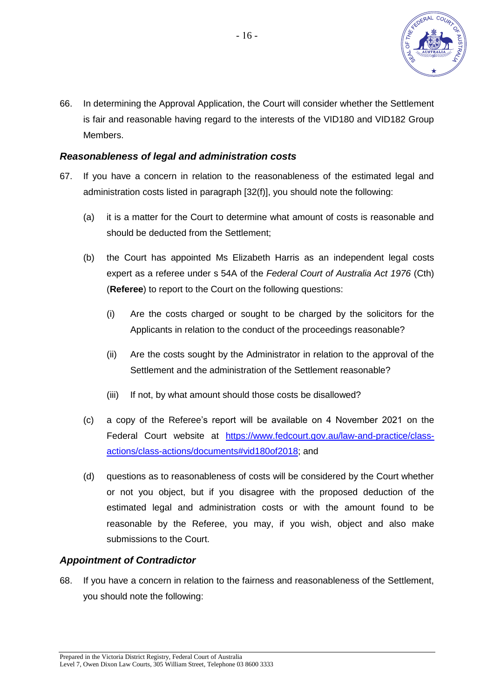

<span id="page-15-0"></span>66. In determining the Approval Application, the Court will consider whether the Settlement is fair and reasonable having regard to the interests of the VID180 and VID182 Group Members.

#### *Reasonableness of legal and administration costs*

- 67. If you have a concern in relation to the reasonableness of the estimated legal and administration costs listed in paragraph [\[32\(f\)\]](#page-7-1), you should note the following:
	- (a) it is a matter for the Court to determine what amount of costs is reasonable and should be deducted from the Settlement;
	- (b) the Court has appointed Ms Elizabeth Harris as an independent legal costs expert as a referee under s 54A of the *Federal Court of Australia Act 1976* (Cth) (**Referee**) to report to the Court on the following questions:
		- (i) Are the costs charged or sought to be charged by the solicitors for the Applicants in relation to the conduct of the proceedings reasonable?
		- (ii) Are the costs sought by the Administrator in relation to the approval of the Settlement and the administration of the Settlement reasonable?
		- (iii) If not, by what amount should those costs be disallowed?
	- (c) a copy of the Referee's report will be available on 4 November 2021 on the Federal Court website at [https://www.fedcourt.gov.au/law-and-practice/class](https://www.fedcourt.gov.au/law-and-practice/class-actions/class-actions/documents#vid180of2018)[actions/class-actions/documents#vid180of2018;](https://www.fedcourt.gov.au/law-and-practice/class-actions/class-actions/documents#vid180of2018) and
	- (d) questions as to reasonableness of costs will be considered by the Court whether or not you object, but if you disagree with the proposed deduction of the estimated legal and administration costs or with the amount found to be reasonable by the Referee, you may, if you wish, object and also make submissions to the Court.

## *Appointment of Contradictor*

68. If you have a concern in relation to the fairness and reasonableness of the Settlement, you should note the following: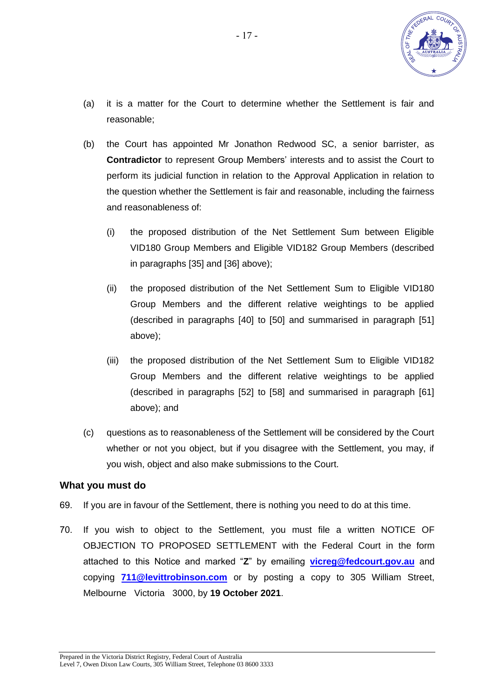

- (a) it is a matter for the Court to determine whether the Settlement is fair and reasonable;
- (b) the Court has appointed Mr Jonathon Redwood SC, a senior barrister, as **Contradictor** to represent Group Members' interests and to assist the Court to perform its judicial function in relation to the Approval Application in relation to the question whether the Settlement is fair and reasonable, including the fairness and reasonableness of:
	- (i) the proposed distribution of the Net Settlement Sum between Eligible VID180 Group Members and Eligible VID182 Group Members (described in paragraphs [\[35\]](#page-8-3) and [\[36\]](#page-8-4) above);
	- (ii) the proposed distribution of the Net Settlement Sum to Eligible VID180 Group Members and the different relative weightings to be applied (described in paragraphs [\[40\]](#page-9-0) to [\[50\]](#page-11-1) and summarised in paragraph [\[51\]](#page-11-2) above);
	- (iii) the proposed distribution of the Net Settlement Sum to Eligible VID182 Group Members and the different relative weightings to be applied (described in paragraphs [\[52\]](#page-12-1) to [\[58\]](#page-13-3) and summarised in paragraph [\[61\]](#page-14-0) above); and
- (c) questions as to reasonableness of the Settlement will be considered by the Court whether or not you object, but if you disagree with the Settlement, you may, if you wish, object and also make submissions to the Court.

#### **What you must do**

- 69. If you are in favour of the Settlement, there is nothing you need to do at this time.
- 70. If you wish to object to the Settlement, you must file a written NOTICE OF OBJECTION TO PROPOSED SETTLEMENT with the Federal Court in the form attached to this Notice and marked "**Z**" by emailing **[vicreg@fedcourt.gov.au](mailto:vicreg@fedcourt.gov.au)** and copying **[711@levittrobinson.com](mailto:711@levittrobinson.com)** or by posting a copy to 305 William Street, Melbourne Victoria 3000, by **19 October 2021**.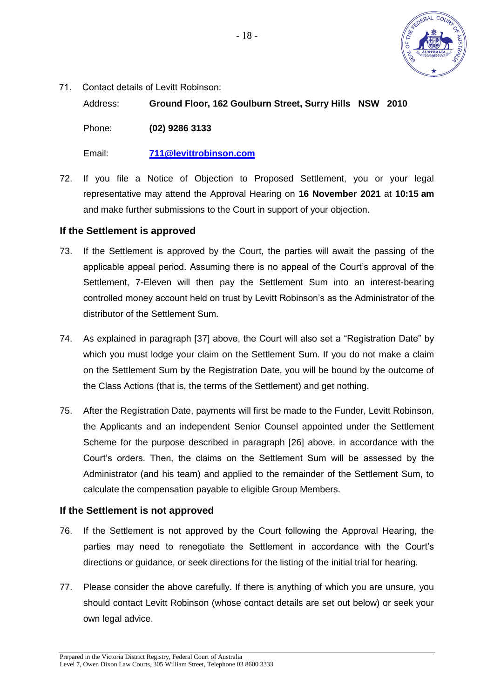

71. Contact details of Levitt Robinson:

Address: **Ground Floor, 162 Goulburn Street, Surry Hills NSW 2010**

Phone: **(02) 9286 3133**

Email: **[711@levittrobinson.com](mailto:711@levittrobinson.com)**

72. If you file a Notice of Objection to Proposed Settlement, you or your legal representative may attend the Approval Hearing on **16 November 2021** at **10:15 am** and make further submissions to the Court in support of your objection.

#### **If the Settlement is approved**

- 73. If the Settlement is approved by the Court, the parties will await the passing of the applicable appeal period. Assuming there is no appeal of the Court's approval of the Settlement, 7-Eleven will then pay the Settlement Sum into an interest-bearing controlled money account held on trust by Levitt Robinson's as the Administrator of the distributor of the Settlement Sum.
- 74. As explained in paragraph [\[37\]](#page-8-2) above, the Court will also set a "Registration Date" by which you must lodge your claim on the Settlement Sum. If you do not make a claim on the Settlement Sum by the Registration Date, you will be bound by the outcome of the Class Actions (that is, the terms of the Settlement) and get nothing.
- 75. After the Registration Date, payments will first be made to the Funder, Levitt Robinson, the Applicants and an independent Senior Counsel appointed under the Settlement Scheme for the purpose described in paragraph [\[26\]](#page-5-0) above, in accordance with the Court's orders. Then, the claims on the Settlement Sum will be assessed by the Administrator (and his team) and applied to the remainder of the Settlement Sum, to calculate the compensation payable to eligible Group Members.

#### **If the Settlement is not approved**

- <span id="page-17-0"></span>76. If the Settlement is not approved by the Court following the Approval Hearing, the parties may need to renegotiate the Settlement in accordance with the Court's directions or guidance, or seek directions for the listing of the initial trial for hearing.
- 77. Please consider the above carefully. If there is anything of which you are unsure, you should contact Levitt Robinson (whose contact details are set out below) or seek your own legal advice.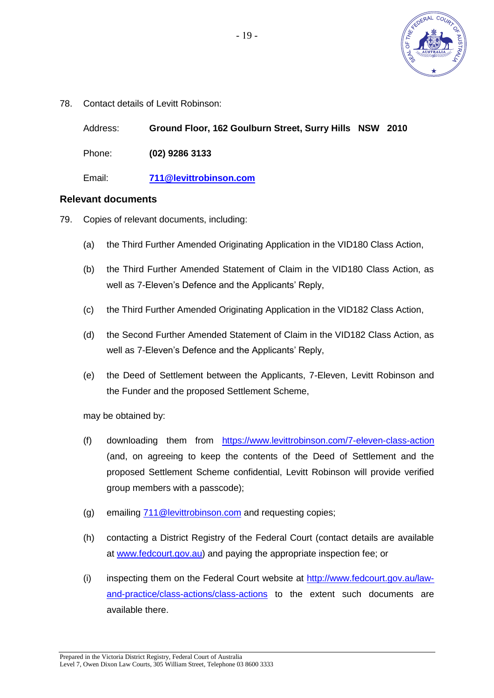

<span id="page-18-0"></span>78. Contact details of Levitt Robinson:

Address: **Ground Floor, 162 Goulburn Street, Surry Hills NSW 2010**

Phone: **(02) 9286 3133**

Email: **[711@levittrobinson.com](mailto:711@levittrobinson.com)**

#### **Relevant documents**

- 79. Copies of relevant documents, including:
	- (a) the Third Further Amended Originating Application in the VID180 Class Action,
	- (b) the Third Further Amended Statement of Claim in the VID180 Class Action, as well as 7-Eleven's Defence and the Applicants' Reply,
	- (c) the Third Further Amended Originating Application in the VID182 Class Action,
	- (d) the Second Further Amended Statement of Claim in the VID182 Class Action, as well as 7-Eleven's Defence and the Applicants' Reply,
	- (e) the Deed of Settlement between the Applicants, 7-Eleven, Levitt Robinson and the Funder and the proposed Settlement Scheme,

may be obtained by:

- (f) downloading them from <https://www.levittrobinson.com/7-eleven-class-action> (and, on agreeing to keep the contents of the Deed of Settlement and the proposed Settlement Scheme confidential, Levitt Robinson will provide verified group members with a passcode);
- (g) emailing [711@levittrobinson.com](mailto:711@levittrobinson.com) and requesting copies;
- (h) contacting a District Registry of the Federal Court (contact details are available at [www.fedcourt.gov.au\)](http://www.fedcourt.gov.au/) and paying the appropriate inspection fee; or
- (i) inspecting them on the Federal Court website at [http://www.fedcourt.gov.au/law](http://www.fedcourt.gov.au/law-and-practice/class-actions/class-actions)[and-practice/class-actions/class-actions](http://www.fedcourt.gov.au/law-and-practice/class-actions/class-actions) to the extent such documents are available there.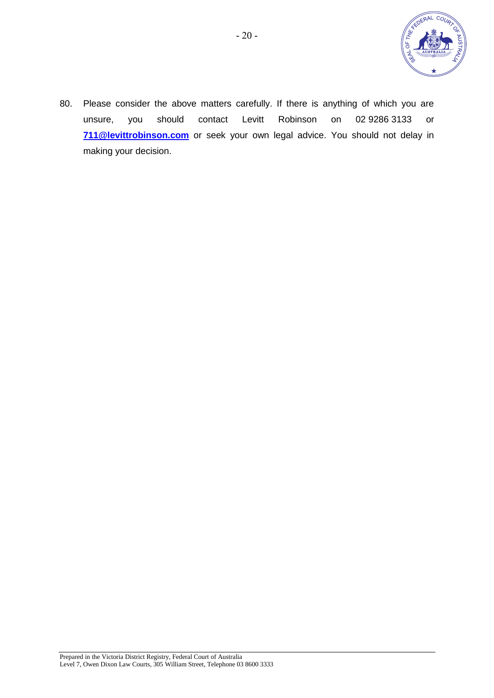

80. Please consider the above matters carefully. If there is anything of which you are unsure, you should contact Levitt Robinson on 02 9286 3133 or **[711@levittrobinson.com](mailto:711@levittrobinson.com)** or seek your own legal advice. You should not delay in making your decision.